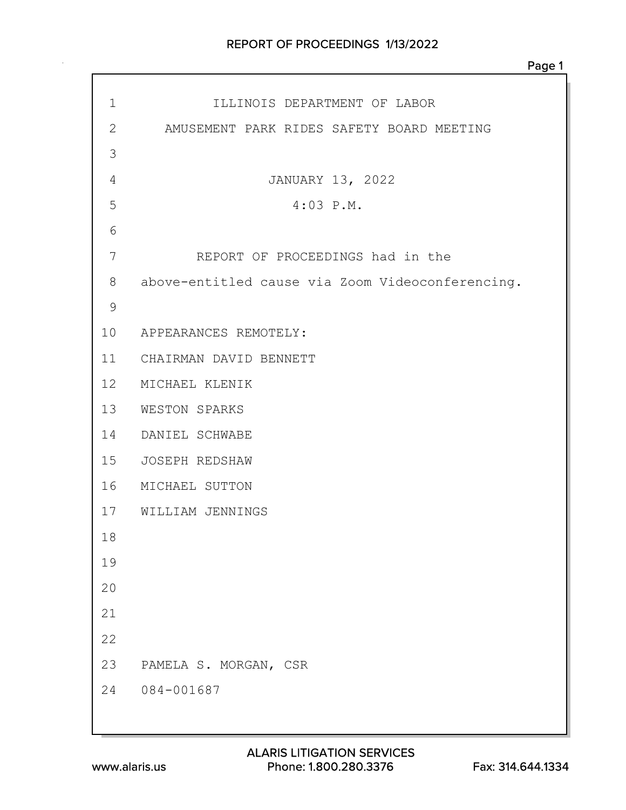| $\mathbf 1$ | ILLINOIS DEPARTMENT OF LABOR                     |
|-------------|--------------------------------------------------|
| 2           | AMUSEMENT PARK RIDES SAFETY BOARD MEETING        |
| 3           |                                                  |
| 4           | JANUARY 13, 2022                                 |
| 5           | $4:03$ P.M.                                      |
| 6           |                                                  |
| 7           | REPORT OF PROCEEDINGS had in the                 |
| 8           | above-entitled cause via Zoom Videoconferencing. |
| 9           |                                                  |
|             | 10 APPEARANCES REMOTELY:                         |
|             | 11 CHAIRMAN DAVID BENNETT                        |
|             | 12 MICHAEL KLENIK                                |
|             | 13 WESTON SPARKS                                 |
|             | 14 DANIEL SCHWABE                                |
|             | 15 JOSEPH REDSHAW                                |
|             | 16 MICHAEL SUTTON                                |
|             | 17 WILLIAM JENNINGS                              |
| 18          |                                                  |
| 19          |                                                  |
| 20          |                                                  |
| 21          |                                                  |
| 22          |                                                  |
| 23          | PAMELA S. MORGAN, CSR                            |
| 24          | 084-001687                                       |
|             |                                                  |
|             |                                                  |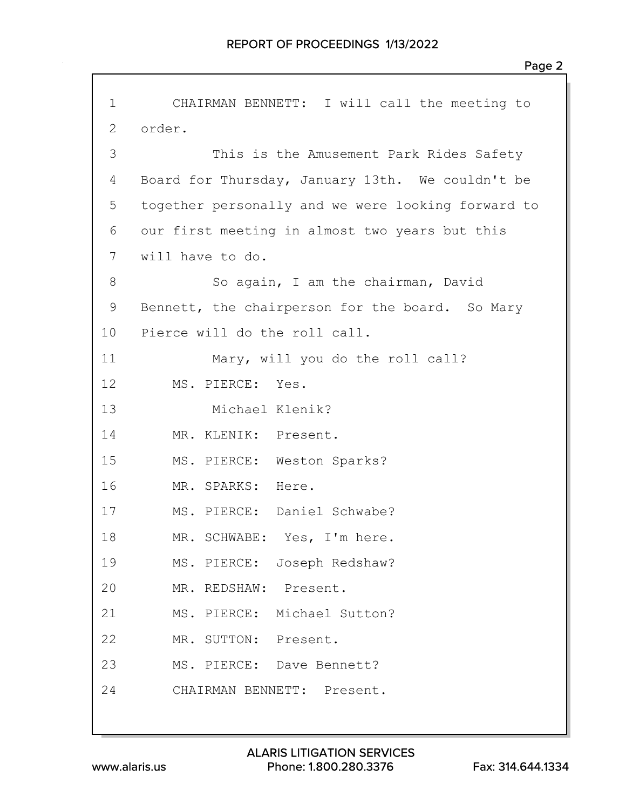| $\mathbf 1$     | CHAIRMAN BENNETT: I will call the meeting to       |
|-----------------|----------------------------------------------------|
| 2               | order.                                             |
| 3               | This is the Amusement Park Rides Safety            |
| 4               | Board for Thursday, January 13th. We couldn't be   |
| 5               | together personally and we were looking forward to |
| 6               | our first meeting in almost two years but this     |
| 7               | will have to do.                                   |
| 8               | So again, I am the chairman, David                 |
| 9               | Bennett, the chairperson for the board. So Mary    |
| 10              | Pierce will do the roll call.                      |
| 11              | Mary, will you do the roll call?                   |
| 12 <sup>°</sup> | MS. PIERCE: Yes.                                   |
| 13              | Michael Klenik?                                    |
| 14              | MR. KLENIK: Present.                               |
| 15              | MS. PIERCE: Weston Sparks?                         |
| 16              | MR. SPARKS: Here.                                  |
| 17              | MS. PIERCE: Daniel Schwabe?                        |
| 18              | MR. SCHWABE: Yes, I'm here.                        |
| 19              | MS. PIERCE: Joseph Redshaw?                        |
| 20              | MR. REDSHAW: Present.                              |
| 21              | MS. PIERCE: Michael Sutton?                        |
| 22              | MR. SUTTON: Present.                               |
| 23              | MS. PIERCE: Dave Bennett?                          |
| 24              | CHAIRMAN BENNETT: Present.                         |
|                 |                                                    |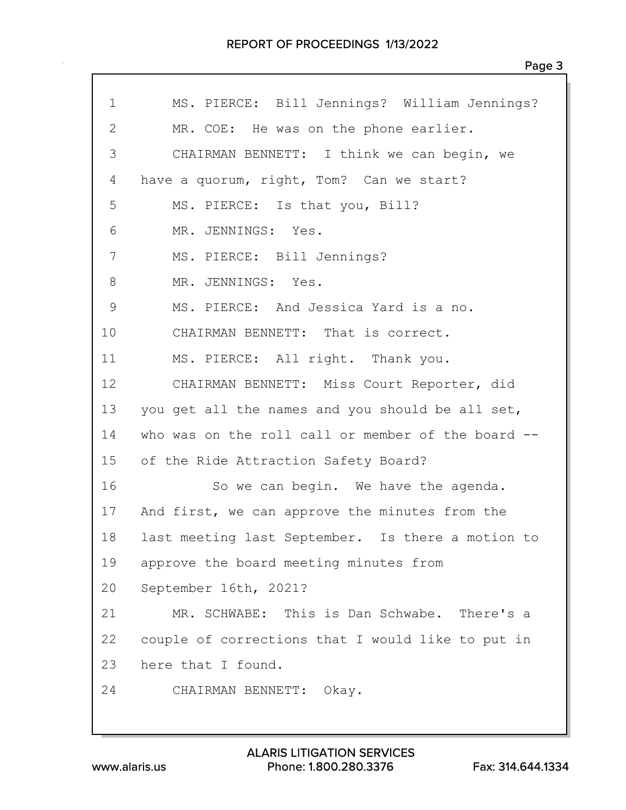| $\mathbf 1$  | MS. PIERCE: Bill Jennings? William Jennings?       |
|--------------|----------------------------------------------------|
| $\mathbf{2}$ | MR. COE: He was on the phone earlier.              |
| 3            | CHAIRMAN BENNETT: I think we can begin, we         |
| 4            | have a quorum, right, Tom? Can we start?           |
| 5            | MS. PIERCE: Is that you, Bill?                     |
| 6            | MR. JENNINGS: Yes.                                 |
| 7            | MS. PIERCE: Bill Jennings?                         |
| 8            | MR. JENNINGS: Yes.                                 |
| 9            | MS. PIERCE: And Jessica Yard is a no.              |
| 10           | CHAIRMAN BENNETT: That is correct.                 |
| 11           | MS. PIERCE: All right. Thank you.                  |
| 12           | CHAIRMAN BENNETT: Miss Court Reporter, did         |
| 13           | you get all the names and you should be all set,   |
| 14           | who was on the roll call or member of the board -- |
| 15           | of the Ride Attraction Safety Board?               |
| 16           | So we can begin. We have the agenda.               |
| 17           | And first, we can approve the minutes from the     |
| 18           | last meeting last September. Is there a motion to  |
| 19           | approve the board meeting minutes from             |
| 20           | September 16th, 2021?                              |
| 21           | MR. SCHWABE: This is Dan Schwabe. There's a        |
| 22           | couple of corrections that I would like to put in  |
| 23           | here that I found.                                 |
| 24           | CHAIRMAN BENNETT: Okay.                            |
|              |                                                    |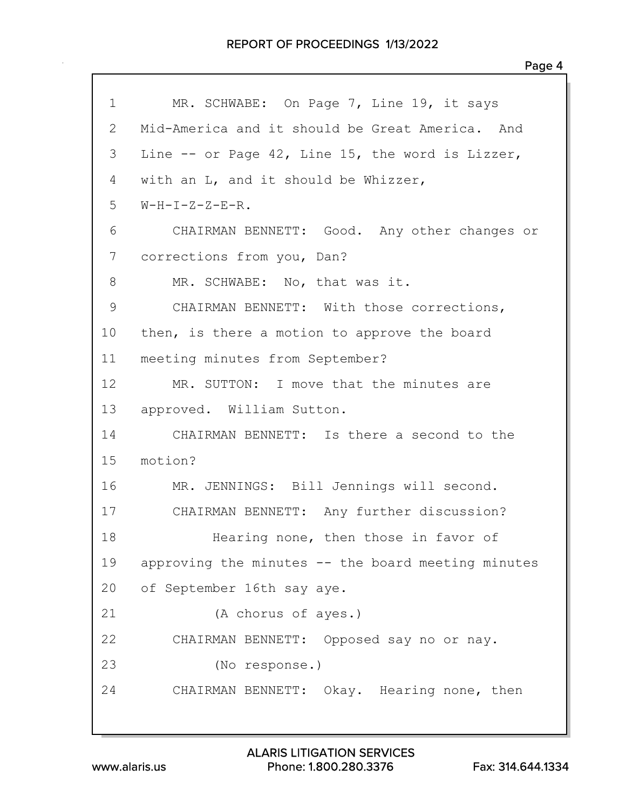| $\mathbf 1$  | MR. SCHWABE: On Page 7, Line 19, it says           |
|--------------|----------------------------------------------------|
| $\mathbf{2}$ | Mid-America and it should be Great America. And    |
| 3            | Line -- or Page 42, Line 15, the word is Lizzer,   |
| 4            | with an L, and it should be Whizzer,               |
| 5            | $W-H-I-Z-Z-E-R$ .                                  |
| 6            | CHAIRMAN BENNETT: Good. Any other changes or       |
| 7            | corrections from you, Dan?                         |
| 8            | MR. SCHWABE: No, that was it.                      |
| 9            | CHAIRMAN BENNETT: With those corrections,          |
| 10           | then, is there a motion to approve the board       |
| 11           | meeting minutes from September?                    |
| 12           | MR. SUTTON: I move that the minutes are            |
| 13           | approved. William Sutton.                          |
| 14           | CHAIRMAN BENNETT: Is there a second to the         |
| 15           | motion?                                            |
| 16           | MR. JENNINGS: Bill Jennings will second.           |
| 17           | CHAIRMAN BENNETT: Any further discussion?          |
| 18           | Hearing none, then those in favor of               |
| 19           | approving the minutes -- the board meeting minutes |
| 20           | of September 16th say aye.                         |
| 21           | (A chorus of ayes.)                                |
| 22           | CHAIRMAN BENNETT: Opposed say no or nay.           |
| 23           | (No response.)                                     |
| 24           | CHAIRMAN BENNETT: Okay. Hearing none, then         |
|              |                                                    |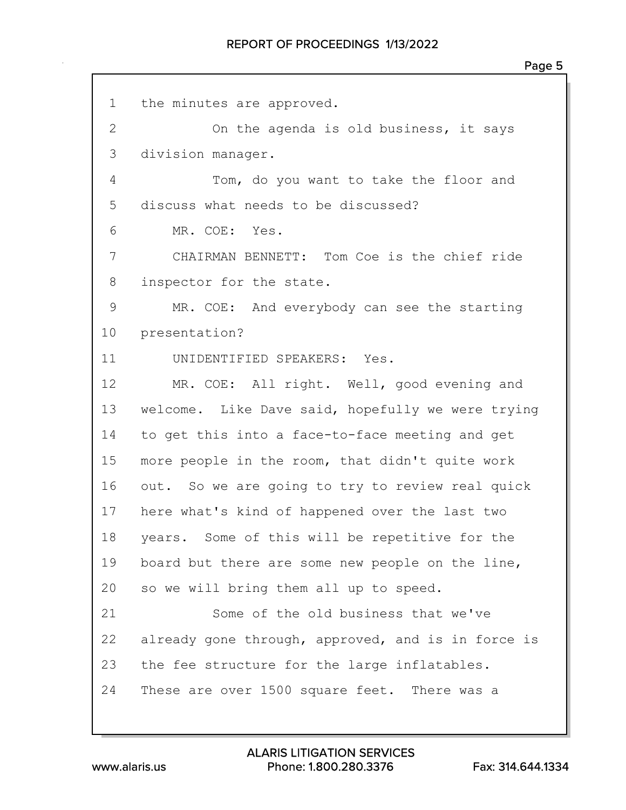| $\mathbf 1$    | the minutes are approved.                          |
|----------------|----------------------------------------------------|
| $\overline{2}$ | On the agenda is old business, it says             |
| 3              | division manager.                                  |
| 4              | Tom, do you want to take the floor and             |
| 5              | discuss what needs to be discussed?                |
| 6              | MR. COE: Yes.                                      |
| 7              | CHAIRMAN BENNETT: Tom Coe is the chief ride        |
| $8\,$          | inspector for the state.                           |
| $\mathsf 9$    | MR. COE: And everybody can see the starting        |
| 10             | presentation?                                      |
| 11             | UNIDENTIFIED SPEAKERS: Yes.                        |
| 12             | MR. COE: All right. Well, good evening and         |
| 13             | welcome. Like Dave said, hopefully we were trying  |
| 14             | to get this into a face-to-face meeting and get    |
| 15             | more people in the room, that didn't quite work    |
| 16             | out. So we are going to try to review real quick   |
| 17             | here what's kind of happened over the last two     |
| 18             | years. Some of this will be repetitive for the     |
| 19             | board but there are some new people on the line,   |
| 20             | so we will bring them all up to speed.             |
| 21             | Some of the old business that we've                |
| 22             | already gone through, approved, and is in force is |
| 23             | the fee structure for the large inflatables.       |
| 24             | These are over 1500 square feet. There was a       |
|                |                                                    |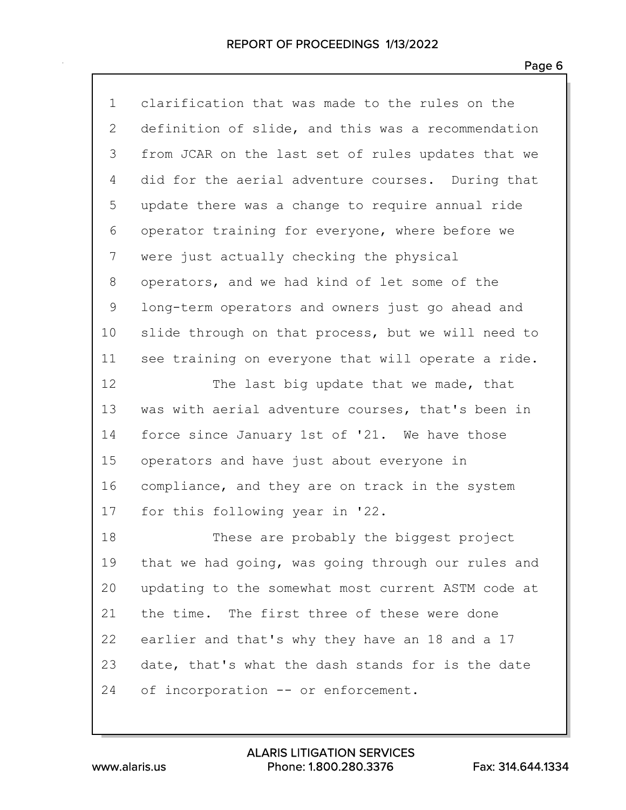| $\mathbf 1$  | clarification that was made to the rules on the    |
|--------------|----------------------------------------------------|
| $\mathbf{2}$ | definition of slide, and this was a recommendation |
| 3            | from JCAR on the last set of rules updates that we |
| 4            | did for the aerial adventure courses. During that  |
| 5            | update there was a change to require annual ride   |
| 6            | operator training for everyone, where before we    |
| 7            | were just actually checking the physical           |
| 8            | operators, and we had kind of let some of the      |
| 9            | long-term operators and owners just go ahead and   |
| 10           | slide through on that process, but we will need to |
| 11           | see training on everyone that will operate a ride. |
| 12           | The last big update that we made, that             |
| 13           | was with aerial adventure courses, that's been in  |
| 14           | force since January 1st of '21. We have those      |
| 15           | operators and have just about everyone in          |
| 16           | compliance, and they are on track in the system    |
| 17           | for this following year in '22.                    |
| 18           | These are probably the biggest project             |
| 19           | that we had going, was going through our rules and |
| 20           | updating to the somewhat most current ASTM code at |
| 21           | the time. The first three of these were done       |
| 22           | earlier and that's why they have an 18 and a 17    |
| 23           | date, that's what the dash stands for is the date  |
| 24           | of incorporation -- or enforcement.                |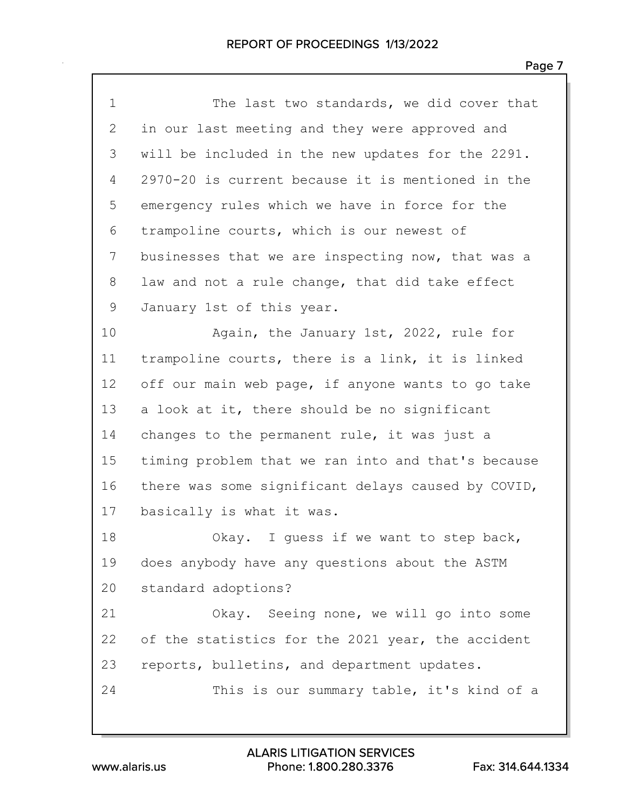| $\mathbf 1$  | The last two standards, we did cover that          |
|--------------|----------------------------------------------------|
| $\mathbf{2}$ | in our last meeting and they were approved and     |
| 3            | will be included in the new updates for the 2291.  |
| 4            | 2970-20 is current because it is mentioned in the  |
| 5            | emergency rules which we have in force for the     |
| 6            | trampoline courts, which is our newest of          |
| 7            | businesses that we are inspecting now, that was a  |
| 8            | law and not a rule change, that did take effect    |
| 9            | January 1st of this year.                          |
| 10           | Again, the January 1st, 2022, rule for             |
| 11           | trampoline courts, there is a link, it is linked   |
| 12           | off our main web page, if anyone wants to go take  |
| 13           | a look at it, there should be no significant       |
| 14           | changes to the permanent rule, it was just a       |
| 15           | timing problem that we ran into and that's because |
| 16           | there was some significant delays caused by COVID, |
| 17           | basically is what it was.                          |
| 18           | Okay. I guess if we want to step back,             |
| 19           | does anybody have any questions about the ASTM     |
| 20           | standard adoptions?                                |
| 21           | Okay. Seeing none, we will go into some            |
| 22           | of the statistics for the 2021 year, the accident  |
| 23           | reports, bulletins, and department updates.        |
| 24           | This is our summary table, it's kind of a          |
|              |                                                    |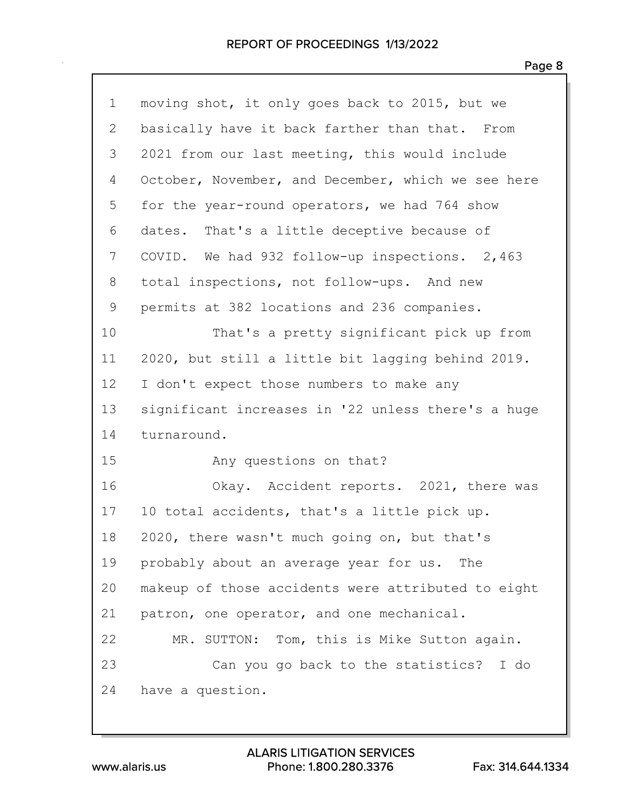| $\mathbf 1$ | moving shot, it only goes back to 2015, but we     |
|-------------|----------------------------------------------------|
| 2           | basically have it back farther than that. From     |
| 3           | 2021 from our last meeting, this would include     |
| 4           | October, November, and December, which we see here |
| 5           | for the year-round operators, we had 764 show      |
| 6           | dates. That's a little deceptive because of        |
| 7           | COVID. We had 932 follow-up inspections. 2,463     |
| 8           | total inspections, not follow-ups. And new         |
| 9           | permits at 382 locations and 236 companies.        |
| 10          | That's a pretty significant pick up from           |
| 11          | 2020, but still a little bit lagging behind 2019.  |
| 12          | I don't expect those numbers to make any           |
| 13          | significant increases in '22 unless there's a huge |
| 14          | turnaround.                                        |
| 15          | Any questions on that?                             |
| 16          | Okay. Accident reports. 2021, there was            |
| 17          | 10 total accidents, that's a little pick up.       |
| 18          | 2020, there wasn't much going on, but that's       |
| 19          | probably about an average year for us. The         |
| 20          | makeup of those accidents were attributed to eight |
| 21          | patron, one operator, and one mechanical.          |
| 22          | MR. SUTTON: Tom, this is Mike Sutton again.        |
| 23          | Can you go back to the statistics? I do            |
| 24          | have a question.                                   |
|             |                                                    |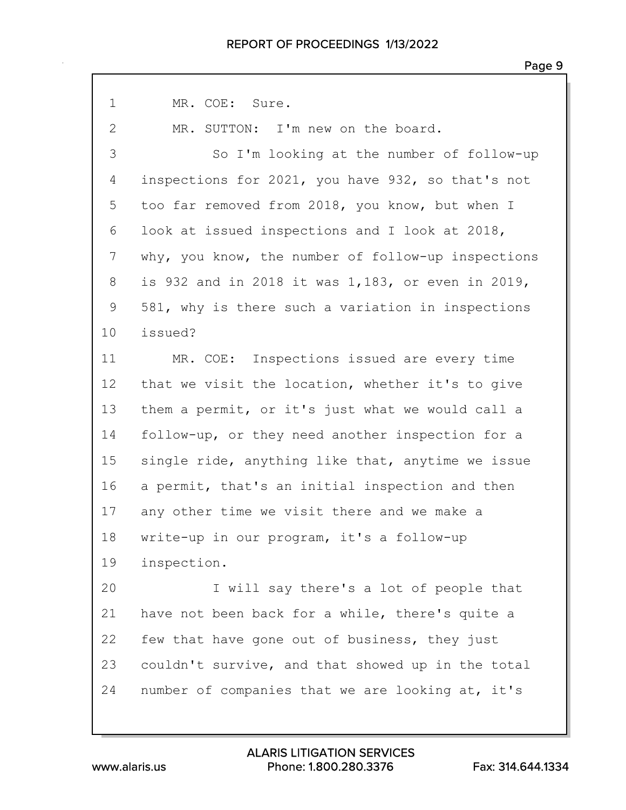1 MR. COE: Sure. 2 MR. SUTTON: I'm new on the board. 3 So I'm looking at the number of follow-up inspections for 2021, you have 932, so that's not too far removed from 2018, you know, but when I look at issued inspections and I look at 2018, why, you know, the number of follow-up inspections is 932 and in 2018 it was 1,183, or even in 2019, 581, why is there such a variation in inspections issued? 11 MR. COE: Inspections issued are every time that we visit the location, whether it's to give them a permit, or it's just what we would call a follow-up, or they need another inspection for a single ride, anything like that, anytime we issue a permit, that's an initial inspection and then any other time we visit there and we make a write-up in our program, it's a follow-up inspection. 20 I will say there's a lot of people that have not been back for a while, there's quite a few that have gone out of business, they just couldn't survive, and that showed up in the total number of companies that we are looking at, it's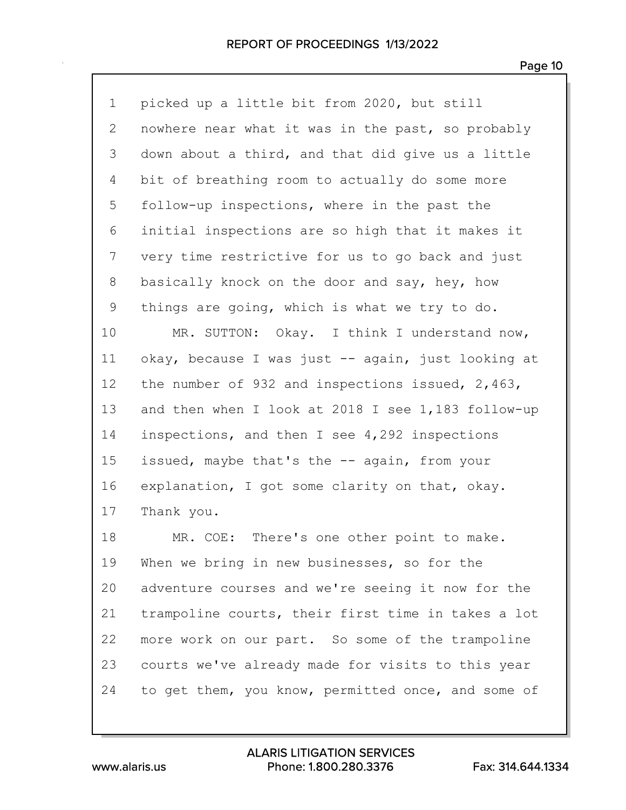| $\mathbf 1$  | picked up a little bit from 2020, but still        |
|--------------|----------------------------------------------------|
| $\mathbf{2}$ | nowhere near what it was in the past, so probably  |
| 3            | down about a third, and that did give us a little  |
| 4            | bit of breathing room to actually do some more     |
| 5            | follow-up inspections, where in the past the       |
| 6            | initial inspections are so high that it makes it   |
| 7            | very time restrictive for us to go back and just   |
| 8            | basically knock on the door and say, hey, how      |
| 9            | things are going, which is what we try to do.      |
| 10           | MR. SUTTON: Okay. I think I understand now,        |
| 11           | okay, because I was just -- again, just looking at |
| 12           | the number of 932 and inspections issued, 2,463,   |
| 13           | and then when I look at 2018 I see 1,183 follow-up |
| 14           | inspections, and then I see 4,292 inspections      |
| 15           | issued, maybe that's the -- again, from your       |
| 16           | explanation, I got some clarity on that, okay.     |
| 17           | Thank you.                                         |
| 18           | MR. COE: There's one other point to make.          |
| 19           | When we bring in new businesses, so for the        |
| 20           | adventure courses and we're seeing it now for the  |
| 21           | trampoline courts, their first time in takes a lot |
| 22           | more work on our part. So some of the trampoline   |
| 23           | courts we've already made for visits to this year  |
| 24           | to get them, you know, permitted once, and some of |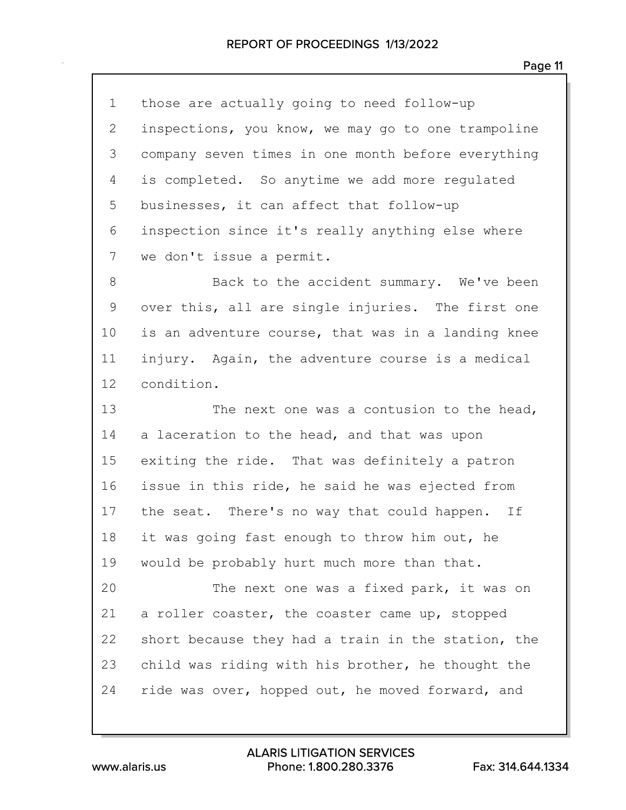those are actually going to need follow-up inspections, you know, we may go to one trampoline company seven times in one month before everything is completed. So anytime we add more regulated businesses, it can affect that follow-up inspection since it's really anything else where we don't issue a permit.

8 Back to the accident summary. We've been over this, all are single injuries. The first one is an adventure course, that was in a landing knee injury. Again, the adventure course is a medical condition.

13 The next one was a contusion to the head, a laceration to the head, and that was upon exiting the ride. That was definitely a patron issue in this ride, he said he was ejected from 17 the seat. There's no way that could happen. If it was going fast enough to throw him out, he would be probably hurt much more than that.

20 The next one was a fixed park, it was on a roller coaster, the coaster came up, stopped short because they had a train in the station, the child was riding with his brother, he thought the 24 ride was over, hopped out, he moved forward, and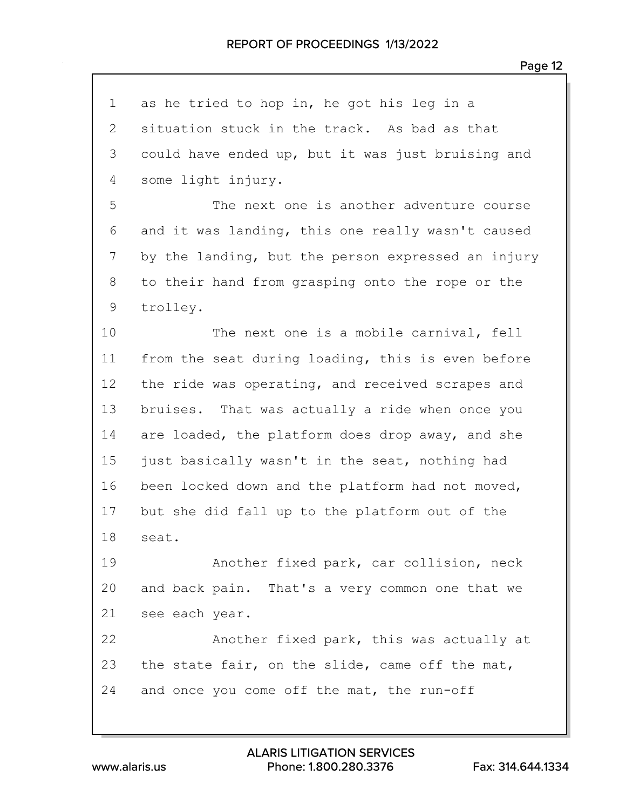| $\mathbf 1$  | as he tried to hop in, he got his leg in a         |
|--------------|----------------------------------------------------|
| $\mathbf{2}$ | situation stuck in the track. As bad as that       |
| 3            | could have ended up, but it was just bruising and  |
| 4            | some light injury.                                 |
| 5            | The next one is another adventure course           |
| 6            | and it was landing, this one really wasn't caused  |
| 7            | by the landing, but the person expressed an injury |
| 8            | to their hand from grasping onto the rope or the   |
| 9            | trolley.                                           |
| 10           | The next one is a mobile carnival, fell            |
| 11           | from the seat during loading, this is even before  |
| 12           | the ride was operating, and received scrapes and   |
| 13           | bruises. That was actually a ride when once you    |
| 14           | are loaded, the platform does drop away, and she   |
| 15           | just basically wasn't in the seat, nothing had     |
| 16           | been locked down and the platform had not moved,   |
| 17           | but she did fall up to the platform out of the     |
| 18           | seat.                                              |
| 19           | Another fixed park, car collision, neck            |
| 20           | and back pain. That's a very common one that we    |
| 21           | see each year.                                     |
| 22           | Another fixed park, this was actually at           |
| 23           | the state fair, on the slide, came off the mat,    |
| 24           | and once you come off the mat, the run-off         |

www.alaris.us Phone: 1.800.280.3376 Fax: 314.644.1334 ALARIS LITIGATION SERVICES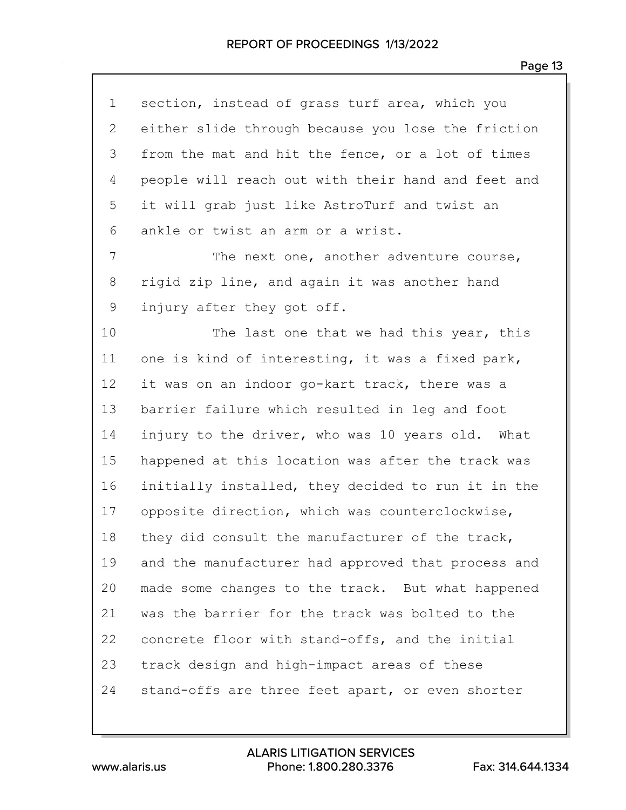section, instead of grass turf area, which you either slide through because you lose the friction from the mat and hit the fence, or a lot of times people will reach out with their hand and feet and it will grab just like AstroTurf and twist an ankle or twist an arm or a wrist. 7 The next one, another adventure course, rigid zip line, and again it was another hand injury after they got off. 10 The last one that we had this year, this one is kind of interesting, it was a fixed park, it was on an indoor go-kart track, there was a barrier failure which resulted in leg and foot injury to the driver, who was 10 years old. What happened at this location was after the track was initially installed, they decided to run it in the opposite direction, which was counterclockwise, 18 they did consult the manufacturer of the track, and the manufacturer had approved that process and made some changes to the track. But what happened was the barrier for the track was bolted to the concrete floor with stand-offs, and the initial track design and high-impact areas of these stand-offs are three feet apart, or even shorter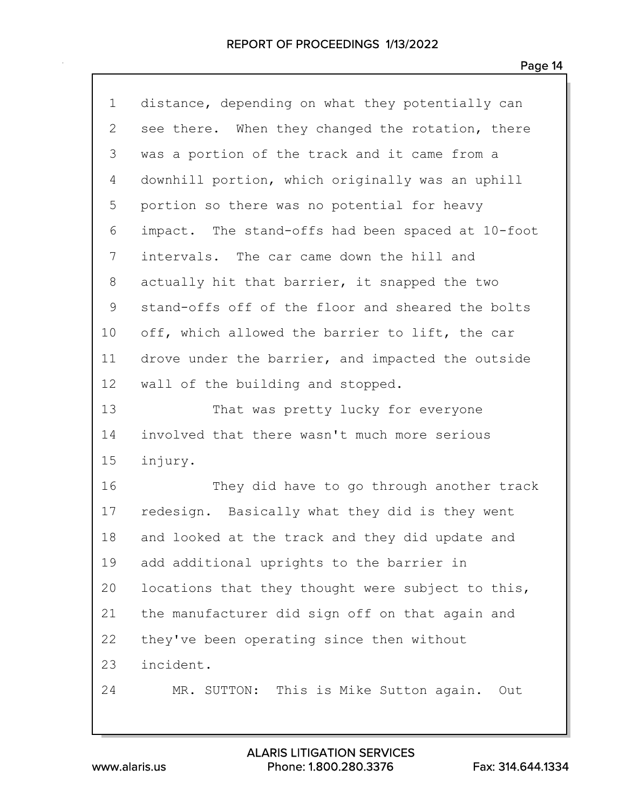| $\mathbf 1$ | distance, depending on what they potentially can  |
|-------------|---------------------------------------------------|
| 2           | see there. When they changed the rotation, there  |
| 3           | was a portion of the track and it came from a     |
| 4           | downhill portion, which originally was an uphill  |
| 5           | portion so there was no potential for heavy       |
| 6           | impact. The stand-offs had been spaced at 10-foot |
| 7           | intervals. The car came down the hill and         |
| $8\,$       | actually hit that barrier, it snapped the two     |
| $\mathsf 9$ | stand-offs off of the floor and sheared the bolts |
| 10          | off, which allowed the barrier to lift, the car   |
| 11          | drove under the barrier, and impacted the outside |
| 12          | wall of the building and stopped.                 |
| 13          | That was pretty lucky for everyone                |
| 14          | involved that there wasn't much more serious      |
| 15          | injury.                                           |
| 16          | They did have to go through another track         |
| 17          | redesign. Basically what they did is they went    |
| 18          | and looked at the track and they did update and   |
| 19          | add additional uprights to the barrier in         |
| 20          | locations that they thought were subject to this, |
| 21          | the manufacturer did sign off on that again and   |
| 22          | they've been operating since then without         |
| 23          | incident.                                         |
| 24          | MR. SUTTON: This is Mike Sutton again.<br>Out     |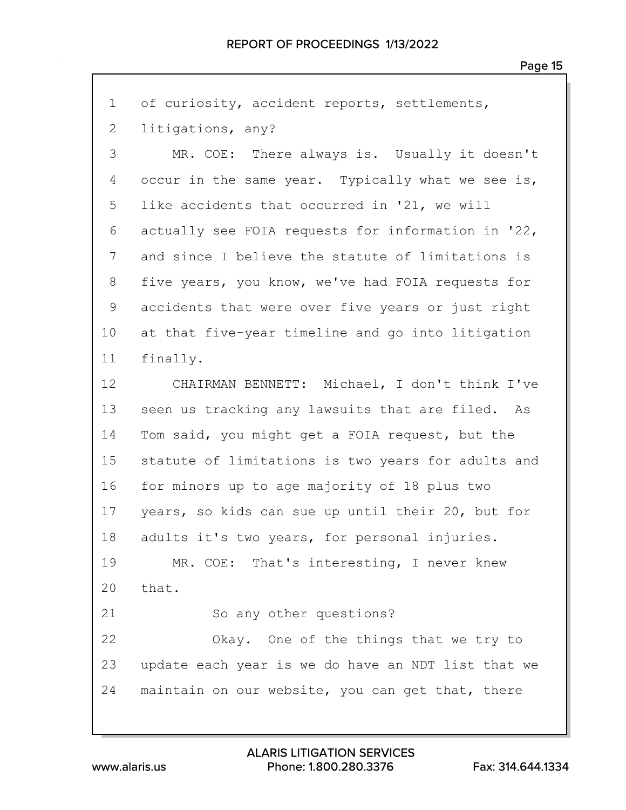| $\mathbf 1$    | of curiosity, accident reports, settlements,       |
|----------------|----------------------------------------------------|
| $\overline{2}$ | litigations, any?                                  |
| 3              | MR. COE: There always is. Usually it doesn't       |
| 4              | occur in the same year. Typically what we see is,  |
| 5              | like accidents that occurred in '21, we will       |
| 6              | actually see FOIA requests for information in '22, |
| 7              | and since I believe the statute of limitations is  |
| 8              | five years, you know, we've had FOIA requests for  |
| 9              | accidents that were over five years or just right  |
| 10             | at that five-year timeline and go into litigation  |
| 11             | finally.                                           |
| 12             | CHAIRMAN BENNETT: Michael, I don't think I've      |
| 13             | seen us tracking any lawsuits that are filed. As   |
| 14             | Tom said, you might get a FOIA request, but the    |
| 15             | statute of limitations is two years for adults and |
| 16             | for minors up to age majority of 18 plus two       |
| 17             | years, so kids can sue up until their 20, but for  |
| 18             | adults it's two years, for personal injuries.      |
| 19             | MR. COE: That's interesting, I never knew          |
| 20             | that.                                              |
| 21             | So any other questions?                            |
| 22             | Okay. One of the things that we try to             |
| 23             | update each year is we do have an NDT list that we |
| 24             | maintain on our website, you can get that, there   |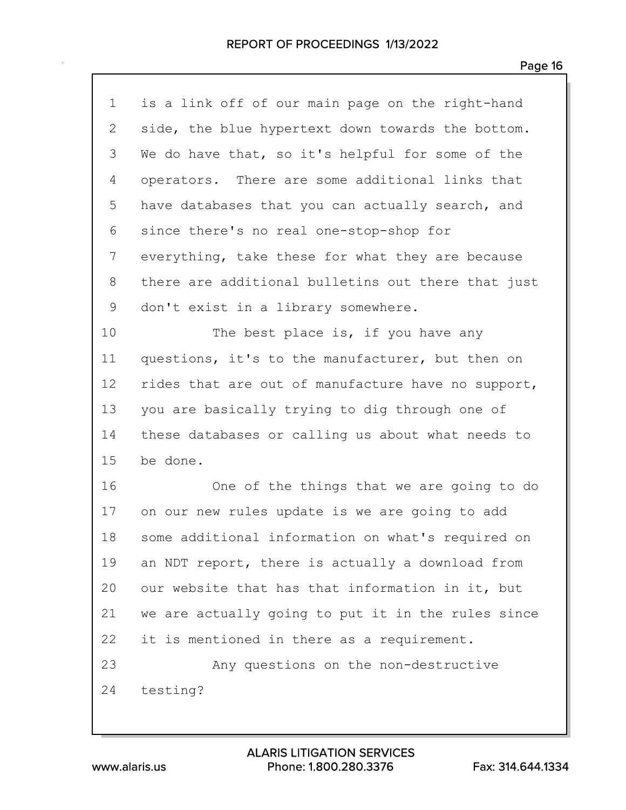| $\mathbf 1$ | is a link off of our main page on the right-hand   |
|-------------|----------------------------------------------------|
| 2           | side, the blue hypertext down towards the bottom.  |
| 3           | We do have that, so it's helpful for some of the   |
| 4           | operators. There are some additional links that    |
| 5           | have databases that you can actually search, and   |
| 6           | since there's no real one-stop-shop for            |
| 7           | everything, take these for what they are because   |
| 8           | there are additional bulletins out there that just |
| 9           | don't exist in a library somewhere.                |
| 10          | The best place is, if you have any                 |
| 11          | questions, it's to the manufacturer, but then on   |
| 12          | rides that are out of manufacture have no support, |
| 13          | you are basically trying to dig through one of     |
| 14          | these databases or calling us about what needs to  |
| 15          | be done.                                           |
| 16          | One of the things that we are going to do          |
| 17          | on our new rules update is we are going to add     |
| 18          | some additional information on what's required on  |
| 19          | an NDT report, there is actually a download from   |
| 20          | our website that has that information in it, but   |
| 21          | we are actually going to put it in the rules since |
| 22          | it is mentioned in there as a requirement.         |
| 23          | Any questions on the non-destructive               |
| 24          | testing?                                           |
|             |                                                    |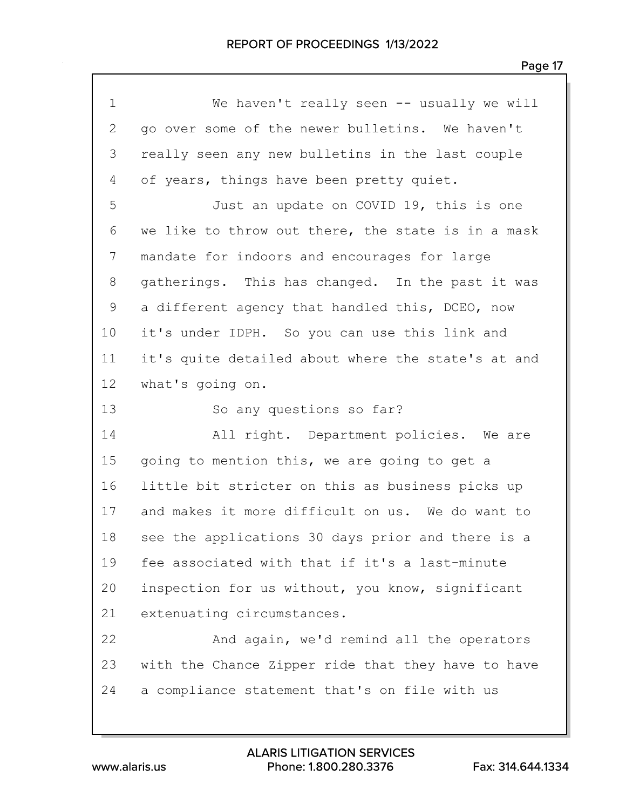| $\mathbf 1$  | We haven't really seen $--$ usually we will        |
|--------------|----------------------------------------------------|
| $\mathbf{2}$ | go over some of the newer bulletins. We haven't    |
| 3            | really seen any new bulletins in the last couple   |
| 4            | of years, things have been pretty quiet.           |
| 5            | Just an update on COVID 19, this is one            |
| 6            | we like to throw out there, the state is in a mask |
| 7            | mandate for indoors and encourages for large       |
| 8            | gatherings. This has changed. In the past it was   |
| 9            | a different agency that handled this, DCEO, now    |
| 10           | it's under IDPH. So you can use this link and      |
| 11           | it's quite detailed about where the state's at and |
| 12           | what's going on.                                   |
| 13           | So any questions so far?                           |
| 14           | All right. Department policies. We are             |
| 15           | going to mention this, we are going to get a       |
| 16           | little bit stricter on this as business picks up   |
| 17           | and makes it more difficult on us. We do want to   |
| 18           | see the applications 30 days prior and there is a  |
| 19           | fee associated with that if it's a last-minute     |
| 20           | inspection for us without, you know, significant   |
| 21           | extenuating circumstances.                         |
| 22           | And again, we'd remind all the operators           |
| 23           | with the Chance Zipper ride that they have to have |
| 24           | a compliance statement that's on file with us      |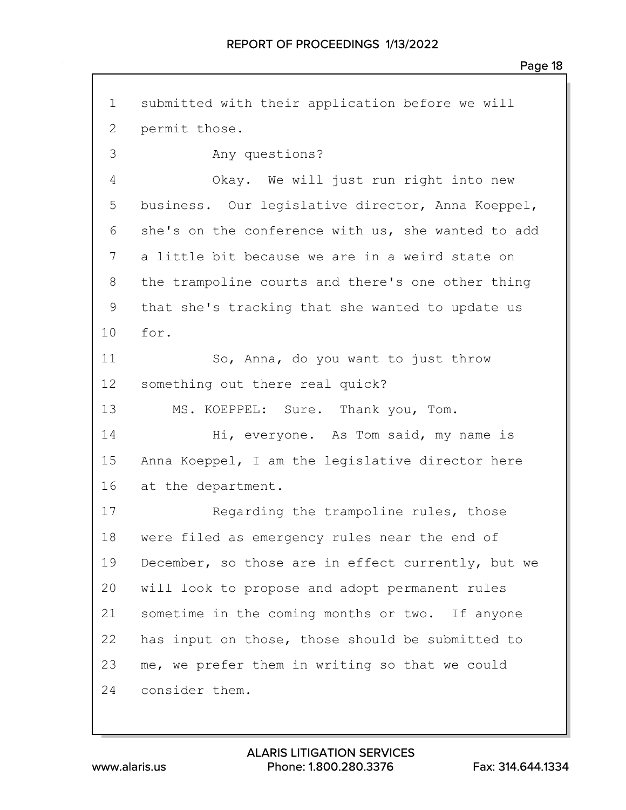submitted with their application before we will permit those. 3 Any questions? 4 Okay. We will just run right into new business. Our legislative director, Anna Koeppel, she's on the conference with us, she wanted to add a little bit because we are in a weird state on the trampoline courts and there's one other thing that she's tracking that she wanted to update us for. 11 So, Anna, do you want to just throw something out there real quick? 13 MS. KOEPPEL: Sure. Thank you, Tom. 14 Hi, everyone. As Tom said, my name is Anna Koeppel, I am the legislative director here at the department. 17 Regarding the trampoline rules, those were filed as emergency rules near the end of December, so those are in effect currently, but we will look to propose and adopt permanent rules sometime in the coming months or two. If anyone has input on those, those should be submitted to me, we prefer them in writing so that we could consider them.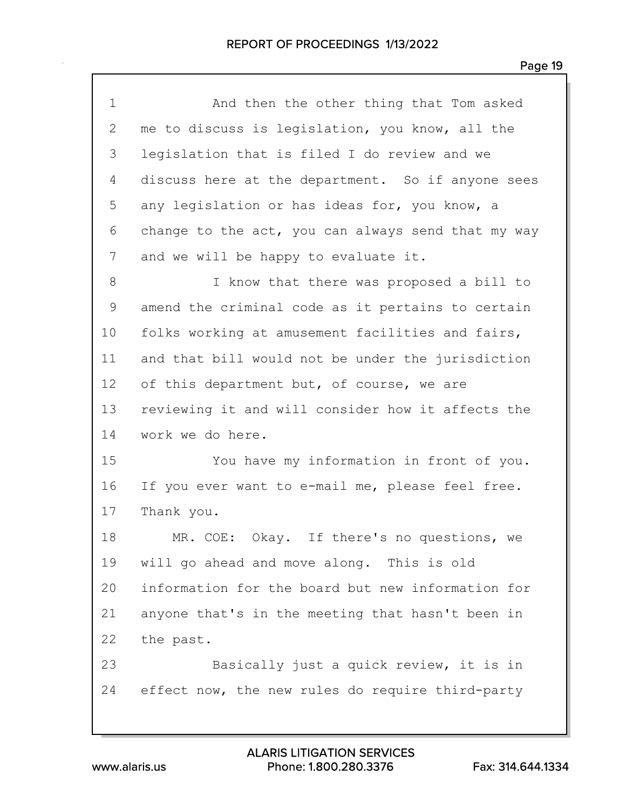| $\mathbf 1$ | And then the other thing that Tom asked            |
|-------------|----------------------------------------------------|
| 2           | me to discuss is legislation, you know, all the    |
| 3           | legislation that is filed I do review and we       |
| 4           | discuss here at the department. So if anyone sees  |
| 5           | any legislation or has ideas for, you know, a      |
| 6           | change to the act, you can always send that my way |
| 7           | and we will be happy to evaluate it.               |
| 8           | I know that there was proposed a bill to           |
| 9           | amend the criminal code as it pertains to certain  |
| 10          | folks working at amusement facilities and fairs,   |
| 11          | and that bill would not be under the jurisdiction  |
| 12          | of this department but, of course, we are          |
| 13          | reviewing it and will consider how it affects the  |
| 14          | work we do here.                                   |
| 15          | You have my information in front of you.           |
| 16          | If you ever want to e-mail me, please feel free.   |
| 17          | Thank you.                                         |
| 18          | MR. COE: Okay. If there's no questions, we         |
| 19          | will go ahead and move along. This is old          |
| 20          | information for the board but new information for  |
| 21          | anyone that's in the meeting that hasn't been in   |
| 22          | the past.                                          |
| 23          | Basically just a quick review, it is in            |
| 24          | effect now, the new rules do require third-party   |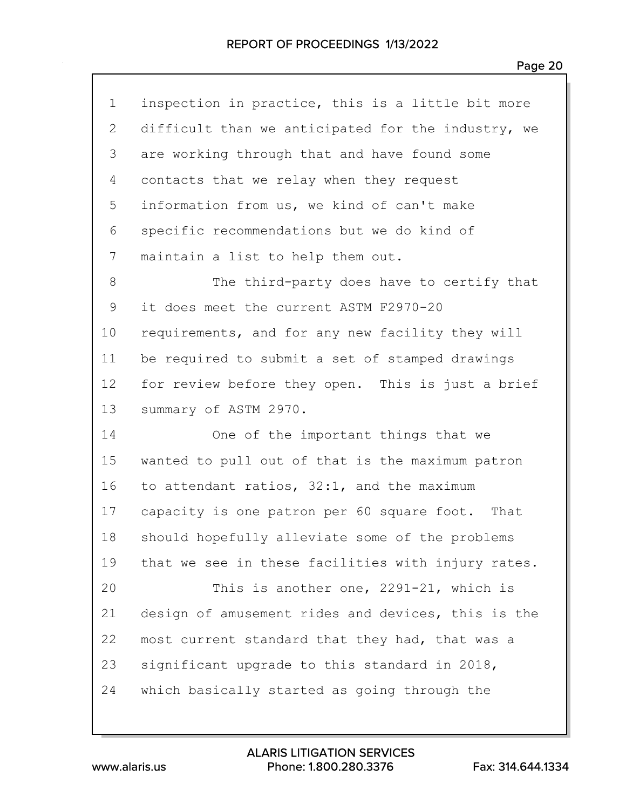| $\mathbf 1$ | inspection in practice, this is a little bit more  |
|-------------|----------------------------------------------------|
| 2           | difficult than we anticipated for the industry, we |
| 3           | are working through that and have found some       |
| 4           | contacts that we relay when they request           |
| 5           | information from us, we kind of can't make         |
| 6           | specific recommendations but we do kind of         |
| 7           | maintain a list to help them out.                  |
| 8           | The third-party does have to certify that          |
| 9           | it does meet the current ASTM F2970-20             |
| 10          | requirements, and for any new facility they will   |
| 11          | be required to submit a set of stamped drawings    |
| 12          | for review before they open. This is just a brief  |
| 13          | summary of ASTM 2970.                              |
| 14          | One of the important things that we                |
| 15          | wanted to pull out of that is the maximum patron   |
| 16          | to attendant ratios, 32:1, and the maximum         |
| 17          | capacity is one patron per 60 square foot. That    |
| 18          | should hopefully alleviate some of the problems    |
| 19          | that we see in these facilities with injury rates. |
| 20          | This is another one, 2291-21, which is             |
| 21          | design of amusement rides and devices, this is the |
| 22          | most current standard that they had, that was a    |
| 23          | significant upgrade to this standard in 2018,      |
| 24          | which basically started as going through the       |
|             |                                                    |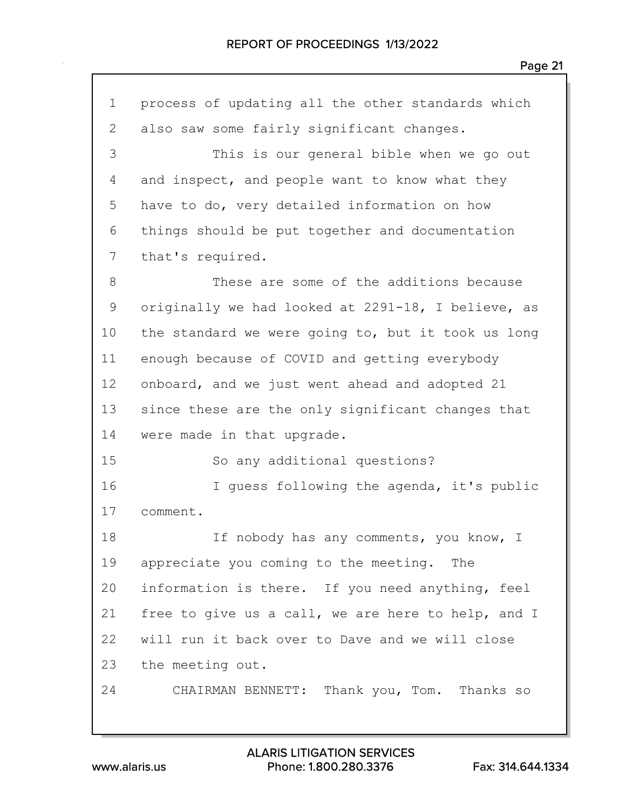| $\mathbf 1$ | process of updating all the other standards which  |
|-------------|----------------------------------------------------|
| 2           | also saw some fairly significant changes.          |
| 3           | This is our general bible when we go out           |
| 4           | and inspect, and people want to know what they     |
| 5           | have to do, very detailed information on how       |
| 6           | things should be put together and documentation    |
| 7           | that's required.                                   |
| $8\,$       | These are some of the additions because            |
| $\mathsf 9$ | originally we had looked at 2291-18, I believe, as |
| 10          | the standard we were going to, but it took us long |
| 11          | enough because of COVID and getting everybody      |
| 12          | onboard, and we just went ahead and adopted 21     |
| 13          | since these are the only significant changes that  |
| 14          | were made in that upgrade.                         |
| 15          | So any additional questions?                       |
| 16          | I guess following the agenda, it's public          |
| 17          | comment.                                           |
| 18          | If nobody has any comments, you know, I            |
| 19          | appreciate you coming to the meeting. The          |
| 20          | information is there. If you need anything, feel   |
| 21          | free to give us a call, we are here to help, and I |
| 22          | will run it back over to Dave and we will close    |
| 23          | the meeting out.                                   |
| 24          | CHAIRMAN BENNETT: Thank you, Tom. Thanks so        |
|             |                                                    |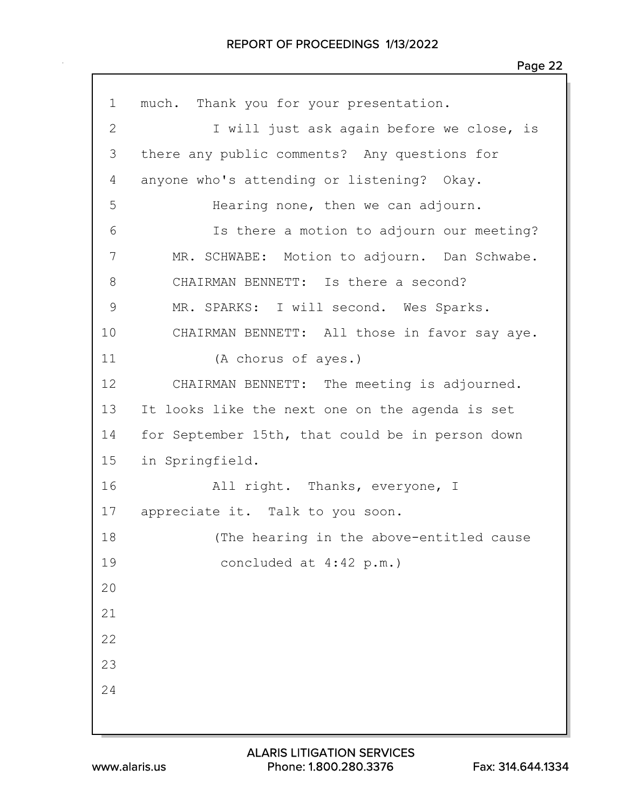| $\mathbf 1$  | much. Thank you for your presentation.           |
|--------------|--------------------------------------------------|
| $\mathbf{2}$ | I will just ask again before we close, is        |
| 3            | there any public comments? Any questions for     |
| 4            | anyone who's attending or listening? Okay.       |
| 5            | Hearing none, then we can adjourn.               |
| 6            | Is there a motion to adjourn our meeting?        |
| 7            | MR. SCHWABE: Motion to adjourn. Dan Schwabe.     |
| 8            | CHAIRMAN BENNETT: Is there a second?             |
| 9            | MR. SPARKS: I will second. Wes Sparks.           |
| 10           | CHAIRMAN BENNETT: All those in favor say aye.    |
| 11           | (A chorus of ayes.)                              |
| 12           | CHAIRMAN BENNETT: The meeting is adjourned.      |
| 13           | It looks like the next one on the agenda is set  |
| 14           | for September 15th, that could be in person down |
| 15           | in Springfield.                                  |
| 16           | All right. Thanks, everyone, I                   |
| 17           | appreciate it. Talk to you soon.                 |
| 18           | (The hearing in the above-entitled cause         |
| 19           | concluded at 4:42 p.m.)                          |
| 20           |                                                  |
| 21           |                                                  |
| 22           |                                                  |
| 23           |                                                  |
| 24           |                                                  |
|              |                                                  |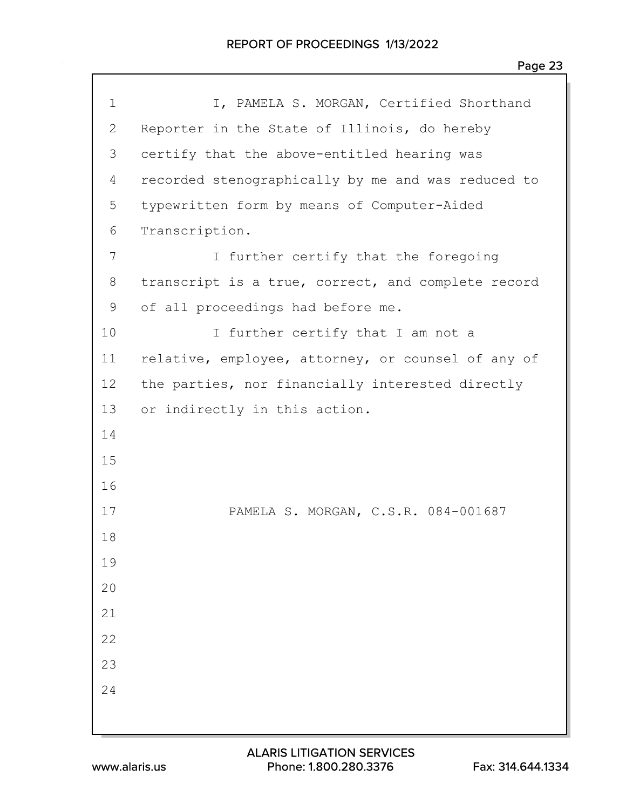| $\mathbf 1$  | I, PAMELA S. MORGAN, Certified Shorthand           |
|--------------|----------------------------------------------------|
| $\mathbf{2}$ |                                                    |
|              | Reporter in the State of Illinois, do hereby       |
| 3            | certify that the above-entitled hearing was        |
| 4            | recorded stenographically by me and was reduced to |
| 5            | typewritten form by means of Computer-Aided        |
| 6            | Transcription.                                     |
| 7            | I further certify that the foregoing               |
| 8            | transcript is a true, correct, and complete record |
| 9            | of all proceedings had before me.                  |
| 10           | I further certify that I am not a                  |
| 11           | relative, employee, attorney, or counsel of any of |
| 12           | the parties, nor financially interested directly   |
| 13           | or indirectly in this action.                      |
| 14           |                                                    |
| 15           |                                                    |
| 16           |                                                    |
| 17           | PAMELA S. MORGAN, C.S.R. 084-001687                |
| 18           |                                                    |
| 19           |                                                    |
| 20           |                                                    |
| 21           |                                                    |
| 22           |                                                    |
| 23           |                                                    |
| 24           |                                                    |
|              |                                                    |
|              |                                                    |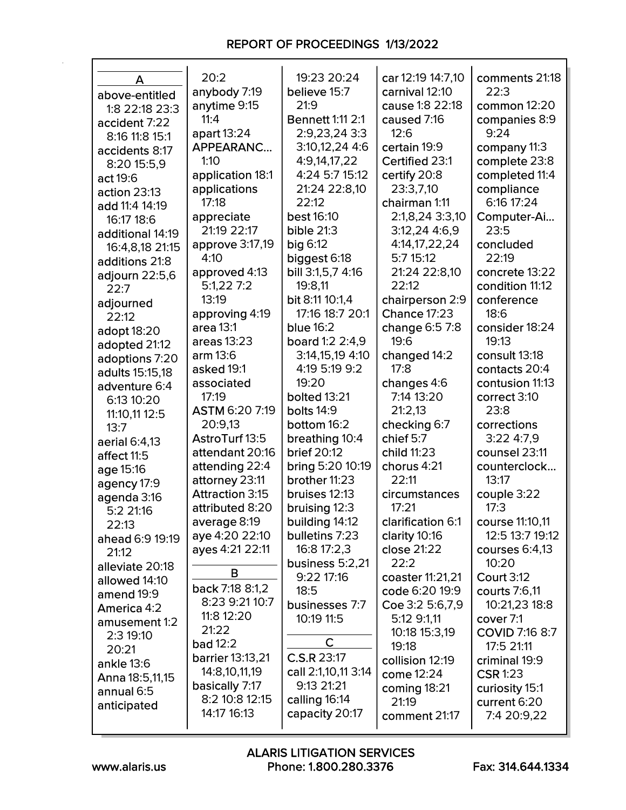| A                            | 20:2                             | 19:23 20:24                     | car 12:19 14:7,10         | comments 21:18                      |
|------------------------------|----------------------------------|---------------------------------|---------------------------|-------------------------------------|
| above-entitled               | anybody 7:19                     | believe 15:7                    | carnival 12:10            | 22:3                                |
| 1:8 22:18 23:3               | anytime 9:15                     | 21:9                            | cause 1:8 22:18           | common 12:20                        |
| accident 7:22                | 11:4                             | <b>Bennett 1:11 2:1</b>         | caused 7:16               | companies 8:9                       |
| 8:16 11:8 15:1               | apart 13:24                      | 2:9,23,24 3:3                   | 12:6                      | 9:24                                |
| accidents 8:17               | APPEARANC<br>1:10                | 3:10,12,24 4:6                  | certain 19:9              | company 11:3                        |
| 8:20 15:5,9                  |                                  | 4:9,14,17,22                    | Certified 23:1            | complete 23:8                       |
| act 19:6                     | application 18:1<br>applications | 4:24 5:7 15:12<br>21:24 22:8,10 | certify 20:8<br>23:3,7,10 | completed 11:4<br>compliance        |
| action 23:13                 | 17:18                            | 22:12                           | chairman 1:11             | 6:16 17:24                          |
| add 11:4 14:19               | appreciate                       | <b>best 16:10</b>               | 2:1,8,24 3:3,10           | Computer-Ai                         |
| 16:17 18:6                   | 21:19 22:17                      | bible $21:3$                    | 3:12,24 4:6,9             | 23:5                                |
| additional 14:19             | approve 3:17,19                  | big 6:12                        | 4:14,17,22,24             | concluded                           |
| 16:4,8,18 21:15              | 4:10                             | biggest 6:18                    | 5:7 15:12                 | 22:19                               |
| additions 21:8               | approved 4:13                    | bill 3:1,5,7 4:16               | 21:24 22:8,10             | concrete 13:22                      |
| adjourn 22:5,6               | 5:1,227:2                        | 19:8.11                         | 22:12                     | condition 11:12                     |
| 22:7                         | 13:19                            | bit 8:11 10:1,4                 | chairperson 2:9           | conference                          |
| adjourned<br>22:12           | approving 4:19                   | 17:16 18:7 20:1                 | <b>Chance 17:23</b>       | 18:6                                |
|                              | area 13:1                        | <b>blue 16:2</b>                | change 6:5 7:8            | consider 18:24                      |
| adopt 18:20<br>adopted 21:12 | areas 13:23                      | board 1:2 2:4,9                 | 19:6                      | 19:13                               |
| adoptions 7:20               | arm 13:6                         | 3:14,15,19 4:10                 | changed 14:2              | consult 13:18                       |
| adults 15:15,18              | asked 19:1                       | 4:19 5:19 9:2                   | 17:8                      | contacts 20:4                       |
| adventure 6:4                | associated                       | 19:20                           | changes 4:6               | contusion 11:13                     |
| 6:13 10:20                   | 17:19                            | bolted 13:21                    | 7:14 13:20                | correct 3:10                        |
| 11:10,11 12:5                | ASTM 6:20 7:19                   | bolts 14:9                      | 21:2,13                   | 23:8                                |
| 13:7                         | 20:9,13                          | bottom 16:2                     | checking 6:7              | corrections                         |
| aerial 6:4,13                | AstroTurf 13:5                   | breathing 10:4                  | chief 5:7                 | 3:224:7,9                           |
| affect 11:5                  | attendant 20:16                  | <b>brief 20:12</b>              | child 11:23               | counsel 23:11                       |
| age 15:16                    | attending 22:4                   | bring 5:20 10:19                | chorus 4:21               | counterclock                        |
| agency 17:9                  | attorney 23:11                   | brother 11:23                   | 22:11                     | 13:17                               |
| agenda 3:16                  | <b>Attraction 3:15</b>           | bruises 12:13                   | circumstances             | couple 3:22                         |
| 5:2 21:16                    | attributed 8:20                  | bruising 12:3                   | 17:21                     | 17:3                                |
| 22:13                        | average 8:19                     | building 14:12                  | clarification 6:1         | course 11:10,11                     |
| ahead 6:9 19:19              | aye 4:20 22:10                   | bulletins 7:23                  | clarity 10:16             | 12:5 13:7 19:12                     |
| 21:12                        | ayes 4:21 22:11                  | 16:8 17:2,3                     | close 21:22               | courses $6:4,13$                    |
| alleviate 20:18              | В                                | business 5:2,21                 | 22:2                      | 10:20                               |
| allowed 14:10                | back 7:18 8:1,2                  | 9:22 17:16                      | coaster 11:21,21          | <b>Court 3:12</b>                   |
| amend 19:9                   | 8:23 9:21 10:7                   | 18:5                            | code 6:20 19:9            | courts 7:6,11                       |
| America 4:2                  | 11:8 12:20                       | businesses 7:7                  | Coe 3:2 5:6,7,9           | 10:21,23 18:8                       |
| amusement 1:2                | 21:22                            | 10:19 11:5                      | 5:12 9:1,11               | cover 7:1                           |
| 2:3 19:10                    | <b>bad</b> 12:2                  | C                               | 10:18 15:3,19<br>19:18    | <b>COVID 7:16 8:7</b><br>17:5 21:11 |
| 20:21                        | <b>barrier</b> 13:13,21          | C.S.R 23:17                     | collision 12:19           | criminal 19:9                       |
| ankle 13:6                   | 14:8,10,11,19                    | call 2:1,10,11 3:14             | come 12:24                | <b>CSR 1:23</b>                     |
| Anna 18:5,11,15              | basically 7:17                   | 9:13 21:21                      | coming 18:21              | curiosity 15:1                      |
| annual 6:5                   | 8:2 10:8 12:15                   | calling 16:14                   | 21:19                     | current 6:20                        |
| anticipated                  | 14:17 16:13                      | capacity 20:17                  | comment 21:17             | 7:4 20:9,22                         |
|                              |                                  |                                 |                           |                                     |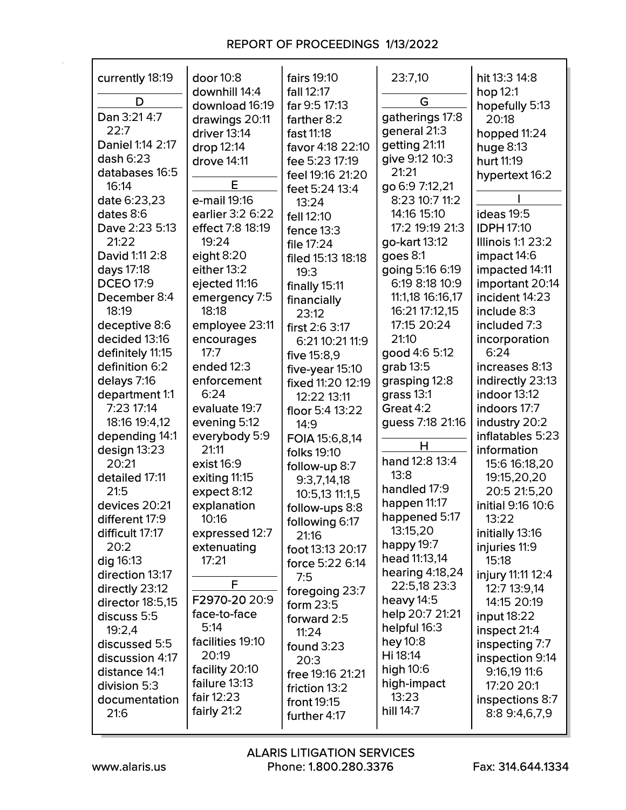| currently 18:19  | door 10:8<br>downhill 14:4 | fairs 19:10<br>fall 12:17 | 23:7,10           | hit 13:3 14:8<br>hop 12:1 |
|------------------|----------------------------|---------------------------|-------------------|---------------------------|
| D                | download 16:19             | far 9:5 17:13             | G                 | hopefully 5:13            |
| Dan 3:21 4:7     | drawings 20:11             | farther 8:2               | gatherings 17:8   | 20:18                     |
| 22:7             | driver 13:14               | fast 11:18                | general 21:3      |                           |
| Daniel 1:14 2:17 |                            |                           | getting 21:11     | hopped 11:24              |
| dash $6:23$      | drop 12:14                 | favor 4:18 22:10          | give 9:12 10:3    | huge $8:13$               |
| databases 16:5   | drove 14:11                | fee 5:23 17:19            | 21:21             | hurt 11:19                |
| 16:14            | E                          | feel 19:16 21:20          | go 6:9 7:12,21    | hypertext 16:2            |
|                  |                            | feet 5:24 13:4            | 8:23 10:7 11:2    |                           |
| date 6:23,23     | e-mail 19:16               | 13:24                     |                   |                           |
| dates 8:6        | earlier 3:2 6:22           | fell 12:10                | 14:16 15:10       | <b>ideas</b> 19:5         |
| Dave 2:23 5:13   | effect 7:8 18:19           | fence $13:3$              | 17:2 19:19 21:3   | <b>IDPH 17:10</b>         |
| 21:22            | 19:24                      | file 17:24                | go-kart 13:12     | <b>Illinois 1:1 23:2</b>  |
| David 1:11 2:8   | eight $8:20$               | filed 15:13 18:18         | goes 8:1          | impact 14:6               |
| days 17:18       | either 13:2                | 19:3                      | going 5:16 6:19   | impacted 14:11            |
| <b>DCEO 17:9</b> | ejected 11:16              | finally 15:11             | 6:19 8:18 10:9    | important 20:14           |
| December 8:4     | emergency 7:5              | financially               | 11:1,18 16:16,17  | incident 14:23            |
| 18:19            | 18:18                      | 23:12                     | 16:21 17:12,15    | include 8:3               |
| deceptive 8:6    | employee 23:11             | first 2:6 3:17            | 17:15 20:24       | included 7:3              |
| decided 13:16    | encourages                 | 6:21 10:21 11:9           | 21:10             | incorporation             |
| definitely 11:15 | 17:7                       | five 15:8,9               | good 4:6 5:12     | 6:24                      |
| definition 6:2   | ended 12:3                 | five-year 15:10           | $grab 13:5$       | increases 8:13            |
| delays 7:16      | enforcement                | fixed 11:20 12:19         | grasping 12:8     | indirectly 23:13          |
| department 1:1   | 6:24                       | 12:22 13:11               | grass 13:1        | indoor 13:12              |
| 7:23 17:14       | evaluate 19:7              | floor 5:4 13:22           | Great 4:2         | indoors 17:7              |
| 18:16 19:4,12    | evening 5:12               | 14:9                      | guess 7:18 21:16  | industry 20:2             |
| depending 14:1   | everybody 5:9              | FOIA 15:6,8,14            |                   | inflatables 5:23          |
| design 13:23     | 21:11                      | folks 19:10               | н                 | information               |
| 20:21            | exist 16:9                 | follow-up 8:7             | hand 12:8 13:4    | 15:6 16:18,20             |
| detailed 17:11   | exiting 11:15              | 9:3,7,14,18               | 13:8              | 19:15,20,20               |
| 21:5             | expect 8:12                | 10:5,13 11:1,5            | handled 17:9      | 20:5 21:5,20              |
| devices 20:21    | explanation                | follow-ups 8:8            | happen 11:17      | initial 9:16 10:6         |
| different 17:9   | 10:16                      | following 6:17            | happened 5:17     | 13:22                     |
| difficult 17:17  | expressed 12:7             | 21:16                     | 13:15,20          | initially 13:16           |
| 20:2             | extenuating                | foot 13:13 20:17          | happy 19:7        | injuries 11:9             |
| dig 16:13        | 17:21                      | force 5:22 6:14           | head 11:13,14     | 15:18                     |
| direction 13:17  |                            | 7:5                       | hearing $4:18,24$ | injury 11:11 12:4         |
| directly 23:12   | F                          | foregoing 23:7            | 22:5,18 23:3      | 12:7 13:9,14              |
| director 18:5,15 | F2970-20 20:9              | form 23:5                 | heavy 14:5        | 14:15 20:19               |
| discuss 5:5      | face-to-face               | forward 2:5               | help 20:7 21:21   | input 18:22               |
| 19:2,4           | 5:14                       | 11:24                     | helpful 16:3      | inspect 21:4              |
| discussed 5:5    | facilities 19:10           | found $3:23$              | hey 10:8          | inspecting 7:7            |
| discussion 4:17  | 20:19                      |                           | Hi 18:14          | inspection 9:14           |
| distance 14:1    | facility 20:10             | 20:3<br>free 19:16 21:21  | high 10:6         | $9:16,19$ 11:6            |
| division 5:3     | failure 13:13              |                           | high-impact       | 17:20 20:1                |
| documentation    | fair 12:23                 | friction 13:2             | 13:23             | inspections 8:7           |
| 21:6             | fairly 21:2                | front 19:15               | hill 14:7         | 8:8 9:4,6,7,9             |
|                  |                            | further 4:17              |                   |                           |

г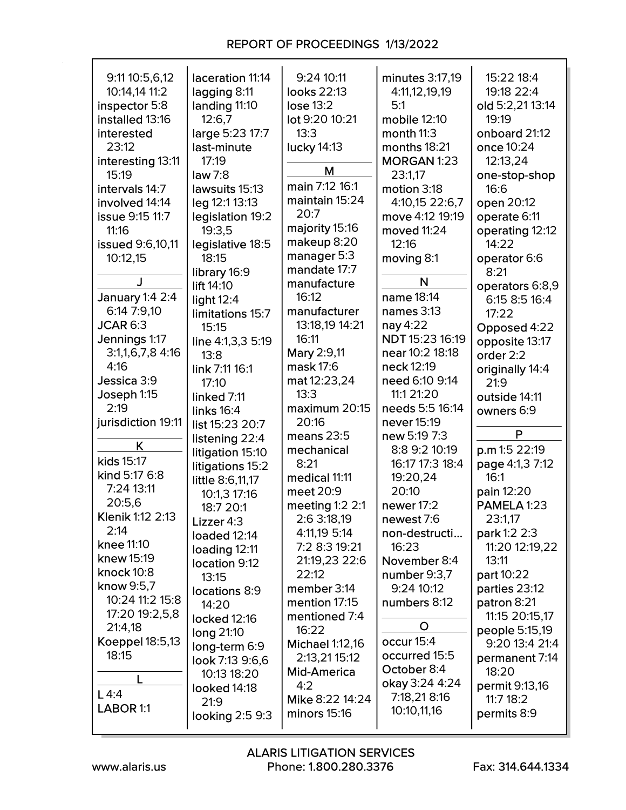| 9:11 10:5,6,12          | laceration 11:14  | 9:24 10:11                   | minutes 3:17,19    | 15:22 18:4              |
|-------------------------|-------------------|------------------------------|--------------------|-------------------------|
| 10:14,14 11:2           | lagging 8:11      | looks 22:13                  | 4:11,12,19,19      | 19:18 22:4              |
| inspector 5:8           | landing 11:10     | lose 13:2                    | 5:1                | old 5:2,21 13:14        |
| installed 13:16         | 12:6.7            | lot 9:20 10:21               | mobile 12:10       | 19:19                   |
| interested              | large 5:23 17:7   | 13:3                         | month 11:3         | onboard 21:12           |
| 23:12                   | last-minute       | lucky 14:13                  | months 18:21       | once 10:24              |
| interesting 13:11       | 17:19             |                              | <b>MORGAN 1:23</b> | 12:13,24                |
| 15:19                   | law 7:8           | M                            | 23:1,17            | one-stop-shop           |
| intervals 14:7          | lawsuits 15:13    | main 7:12 16:1               | motion 3:18        | 16:6                    |
| involved 14:14          | leg 12:1 13:13    | maintain 15:24               | 4:10,15 22:6,7     | open 20:12              |
| <b>issue 9:15 11:7</b>  | legislation 19:2  | 20:7                         | move 4:12 19:19    | operate 6:11            |
| 11:16                   | 19:3,5            | majority 15:16               | moved 11:24        | operating 12:12         |
| <b>issued</b> 9:6,10,11 | legislative 18:5  | makeup 8:20                  | 12:16              | 14:22                   |
| 10:12,15                | 18:15             | manager 5:3                  | moving 8:1         | operator 6:6            |
|                         | library 16:9      | mandate 17:7                 |                    | 8:21                    |
| J                       | lift 14:10        | manufacture                  | N                  | operators 6:8,9         |
| January 1:4 2:4         | light $12:4$      | 16:12                        | name 18:14         | 6:15 8:5 16:4           |
| 6:14 7:9.10             | limitations 15:7  | manufacturer                 | names 3:13         | 17:22                   |
| <b>JCAR 6:3</b>         | 15:15             | 13:18,19 14:21               | nay 4:22           |                         |
| Jennings 1:17           | line 4:1,3,3 5:19 | 16:11                        | NDT 15:23 16:19    | Opposed 4:22            |
| $3:1,1,6,7,8$ 4:16      |                   | Mary 2:9,11                  | near 10:2 18:18    | opposite 13:17          |
| 4:16                    | 13:8              | mask 17:6                    | neck 12:19         | order 2:2               |
| Jessica 3:9             | link 7:11 16:1    | mat 12:23,24                 | need 6:10 9:14     | originally 14:4         |
| Joseph 1:15             | 17:10             | 13:3                         | 11:1 21:20         | 21:9                    |
| 2:19                    | linked 7:11       | maximum 20:15                | needs 5:5 16:14    | outside 14:11           |
| jurisdiction 19:11      | links $16:4$      | 20:16                        | never 15:19        | owners 6:9              |
|                         | list 15:23 20:7   | means 23:5                   | new 5:19 7:3       | P                       |
| K                       | listening 22:4    | mechanical                   | 8:8 9:2 10:19      | p.m 1:5 22:19           |
| kids 15:17              | litigation 15:10  | 8:21                         | 16:17 17:3 18:4    | page 4:1,3 7:12         |
| kind 5:17 6:8           | litigations 15:2  | medical 11:11                | 19:20,24           | 16:1                    |
| 7:24 13:11              | little 8:6,11,17  | meet 20:9                    | 20:10              | pain 12:20              |
| 20:5,6                  | 10:1,3 17:16      | meeting $1:2$ 2:1            | newer 17:2         | PAMELA 1:23             |
| Klenik 1:12 2:13        | 18:7 20:1         | 2:6 3:18,19                  | newest 7:6         | 23:1,17                 |
| 2:14                    | Lizzer 4:3        | 4:11,19 5:14                 | non-destructi      | park 1:2 2:3            |
| knee 11:10              | loaded 12:14      | 7:2 8:3 19:21                | 16:23              | 11:20 12:19,22          |
| knew 15:19              | loading 12:11     | 21:19,23 22:6                | November 8:4       | 13:11                   |
| knock 10:8              | location 9:12     | 22:12                        | number 9:3,7       | part 10:22              |
| know 9:5,7              | 13:15             | member 3:14                  | 9:24 10:12         | parties 23:12           |
| 10:24 11:2 15:8         | locations 8:9     | mention 17:15                | numbers 8:12       | patron 8:21             |
| 17:20 19:2,5,8          | 14:20             | mentioned 7:4                |                    | 11:15 20:15,17          |
| 21:4,18                 | locked 12:16      | 16:22                        | $\mathbf O$        | people 5:15,19          |
| Koeppel 18:5,13         | long 21:10        | <b>Michael 1:12,16</b>       | occur 15:4         | 9:20 13:4 21:4          |
| 18:15                   | long-term 6:9     |                              | occurred 15:5      |                         |
|                         | look 7:13 9:6,6   | 2:13,21 15:12<br>Mid-America | October 8:4        | permanent 7:14<br>18:20 |
|                         | 10:13 18:20       | 4:2                          | okay 3:24 4:24     | permit 9:13,16          |
| L4:4                    | looked 14:18      | Mike 8:22 14:24              | 7:18,21 8:16       | 11:718:2                |
| LABOR 1:1               | 21:9              | minors 15:16                 | 10:10,11,16        | permits 8:9             |
|                         | looking 2:5 9:3   |                              |                    |                         |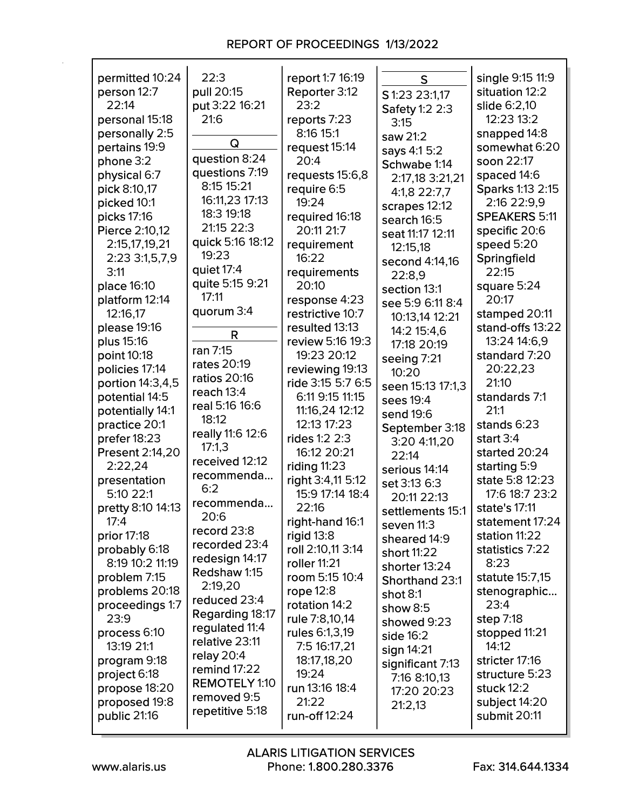| permitted 10:24        | 22:3                    | report 1:7 16:19  | S                     | single 9:15 11:9     |
|------------------------|-------------------------|-------------------|-----------------------|----------------------|
| person 12:7            | pull 20:15              | Reporter 3:12     | S 1:23 23:1,17        | situation 12:2       |
| 22:14                  | put 3:22 16:21          | 23:2              | Safety 1:2 2:3        | slide 6:2,10         |
| personal 15:18         | 21:6                    | reports 7:23      | 3:15                  | 12:23 13:2           |
| personally 2:5         |                         | 8:16 15:1         | saw 21:2              | snapped 14:8         |
| pertains 19:9          | Q                       | request 15:14     | says 4:1 5:2          | somewhat 6:20        |
| phone 3:2              | question 8:24           | 20:4              | Schwabe 1:14          | soon 22:17           |
| physical 6:7           | questions 7:19          | requests 15:6,8   | 2:17,18 3:21,21       | spaced 14:6          |
| pick 8:10,17           | 8:15 15:21              | require 6:5       | 4:1,8 22:7,7          | Sparks 1:13 2:15     |
| picked 10:1            | 16:11,23 17:13          | 19:24             | scrapes 12:12         | 2:16 22:9,9          |
| picks 17:16            | 18:3 19:18              | required 16:18    | search 16:5           | <b>SPEAKERS 5:11</b> |
| Pierce 2:10,12         | 21:15 22:3              | 20:11 21:7        | seat 11:17 12:11      | specific 20:6        |
| 2:15,17,19,21          | quick 5:16 18:12        | requirement       | 12:15,18              | speed 5:20           |
| 2:23 3:1,5,7,9         | 19:23                   | 16:22             | second 4:14,16        | Springfield          |
| 3:11                   | quiet 17:4              | requirements      | 22:8,9                | 22:15                |
| place 16:10            | quite 5:15 9:21         | 20:10             | section 13:1          | square 5:24          |
| platform 12:14         | 17:11                   | response 4:23     | see 5:9 6:11 8:4      | 20:17                |
| 12:16,17               | quorum 3:4              | restrictive 10:7  | 10:13,14 12:21        | stamped 20:11        |
| please 19:16           |                         | resulted 13:13    | 14:2 15:4,6           | stand-offs 13:22     |
| plus 15:16             | R                       | review 5:16 19:3  | 17:18 20:19           | 13:24 14:6,9         |
| point 10:18            | ran 7:15                | 19:23 20:12       | seeing 7:21           | standard 7:20        |
| policies 17:14         | rates 20:19             | reviewing 19:13   | 10:20                 | 20:22,23             |
| portion 14:3,4,5       | <b>ratios 20:16</b>     | ride 3:15 5:7 6:5 | seen 15:13 17:1,3     | 21:10                |
| potential 14:5         | reach $13:4$            | 6:11 9:15 11:15   | sees 19:4             | standards 7:1        |
| potentially 14:1       | real 5:16 16:6          | 11:16,24 12:12    | send 19:6             | 21:1                 |
| practice 20:1          | 18:12                   | 12:13 17:23       | September 3:18        | stands 6:23          |
| prefer 18:23           | really 11:6 12:6        | rides 1:2 2:3     | 3:20 4:11,20          | start $3:4$          |
| <b>Present 2:14,20</b> | 17:1,3                  | 16:12 20:21       | 22:14                 | started 20:24        |
| 2:22,24                | received 12:12          | riding $11:23$    | serious 14:14         | starting 5:9         |
| presentation           | recommenda              | right 3:4,11 5:12 | set 3:13 6:3          | state 5:8 12:23      |
| 5:10 22:1              | 6:2                     | 15:9 17:14 18:4   | 20:11 22:13           | 17:6 18:7 23:2       |
| pretty 8:10 14:13      | recommenda              | 22:16             | settlements 15:1      | state's 17:11        |
| 17:4                   | 20:6                    | right-hand 16:1   | seven 11:3            | statement 17:24      |
| prior 17:18            | record 23:8             | rigid $13:8$      | sheared 14:9          | station 11:22        |
| probably 6:18          | recorded 23:4           | roll 2:10,11 3:14 | short 11:22           | statistics 7:22      |
| 8:19 10:2 11:19        | redesign 14:17          | roller 11:21      | shorter 13:24         | 8:23                 |
| problem 7:15           | Redshaw 1:15            | room 5:15 10:4    | <b>Shorthand 23:1</b> | statute 15:7,15      |
| problems 20:18         | 2:19,20<br>reduced 23:4 | rope $12:8$       | shot 8:1              | stenographic         |
| proceedings 1:7        | Regarding 18:17         | rotation 14:2     | show $8:5$            | 23:4                 |
| 23:9                   | regulated 11:4          | rule 7:8,10,14    | showed 9:23           | step 7:18            |
| process 6:10           | relative 23:11          | rules 6:1,3,19    | side $16:2$           | stopped 11:21        |
| 13:19 21:1             | relay 20:4              | 7:5 16:17,21      | sign 14:21            | 14:12                |
| program 9:18           | remind 17:22            | 18:17,18,20       | significant 7:13      | stricter 17:16       |
| project 6:18           | <b>REMOTELY 1:10</b>    | 19:24             | 7:16 8:10,13          | structure 5:23       |
| propose 18:20          | removed 9:5             | run 13:16 18:4    | 17:20 20:23           | stuck 12:2           |
| proposed 19:8          | repetitive 5:18         | 21:22             | 21:2,13               | subject 14:20        |
| public 21:16           |                         | run-off 12:24     |                       | submit 20:11         |